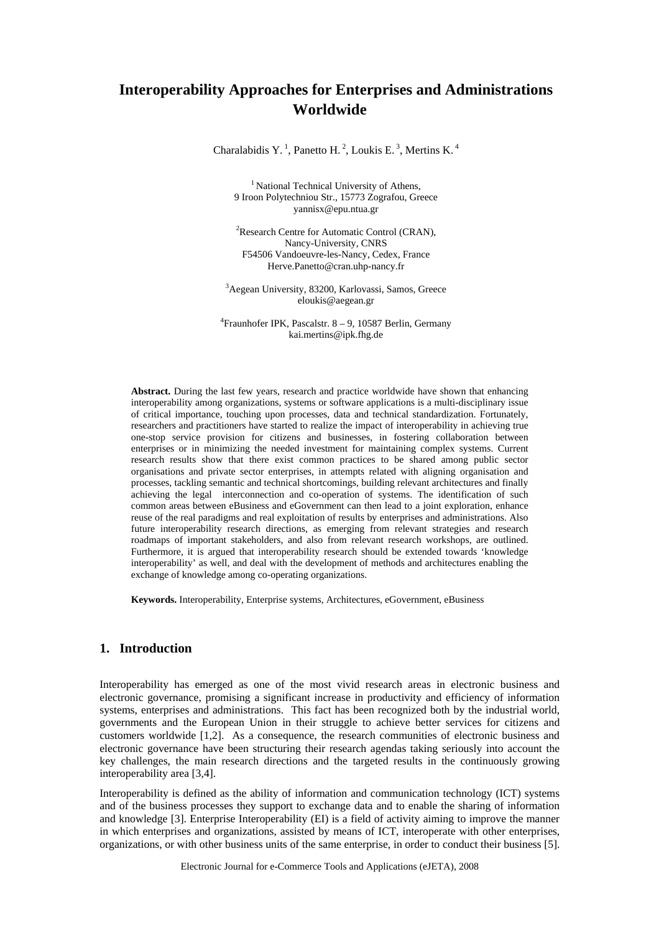Charalabidis Y.<sup>1</sup>, Panetto H.<sup>2</sup>, Loukis E.<sup>3</sup>, Mertins K.<sup>4</sup>

<sup>1</sup> National Technical University of Athens, 9 Iroon Polytechniou Str., 15773 Zografou, Greece yannisx@epu.ntua.gr

<sup>2</sup>Research Centre for Automatic Control (CRAN), Nancy-University, CNRS F54506 Vandoeuvre-les-Nancy, Cedex, France Herve.Panetto@cran.uhp-nancy.fr

<sub>3</sub><br>Aegean University, 83200, Karlovassi, Samos, Greece eloukis@aegean.gr

4 Fraunhofer IPK, Pascalstr. 8 – 9, 10587 Berlin, Germany kai.mertins@ipk.fhg.de

Abstract. During the last few years, research and practice worldwide have shown that enhancing interoperability among organizations, systems or software applications is a multi-disciplinary issue of critical importance, touching upon processes, data and technical standardization. Fortunately, researchers and practitioners have started to realize the impact of interoperability in achieving true one-stop service provision for citizens and businesses, in fostering collaboration between enterprises or in minimizing the needed investment for maintaining complex systems. Current research results show that there exist common practices to be shared among public sector organisations and private sector enterprises, in attempts related with aligning organisation and processes, tackling semantic and technical shortcomings, building relevant architectures and finally achieving the legal interconnection and co-operation of systems. The identification of such common areas between eBusiness and eGovernment can then lead to a joint exploration, enhance reuse of the real paradigms and real exploitation of results by enterprises and administrations. Also future interoperability research directions, as emerging from relevant strategies and research roadmaps of important stakeholders, and also from relevant research workshops, are outlined. Furthermore, it is argued that interoperability research should be extended towards 'knowledge interoperability' as well, and deal with the development of methods and architectures enabling the exchange of knowledge among co-operating organizations.

**Keywords.** Interoperability, Enterprise systems, Architectures, eGovernment, eBusiness

# **1. Introduction**

Interoperability has emerged as one of the most vivid research areas in electronic business and electronic governance, promising a significant increase in productivity and efficiency of information systems, enterprises and administrations. This fact has been recognized both by the industrial world, governments and the European Union in their struggle to achieve better services for citizens and customers worldwide [1,2]. As a consequence, the research communities of electronic business and electronic governance have been structuring their research agendas taking seriously into account the key challenges, the main research directions and the targeted results in the continuously growing interoperability area [3,4].

Interoperability is defined as the ability of information and communication technology (ICT) systems and of the business processes they support to exchange data and to enable the sharing of information and knowledge [3]. Enterprise Interoperability (EI) is a field of activity aiming to improve the manner in which enterprises and organizations, assisted by means of ICT, interoperate with other enterprises, organizations, or with other business units of the same enterprise, in order to conduct their business [5].

Electronic Journal for e-Commerce Tools and Applications (eJETA), 2008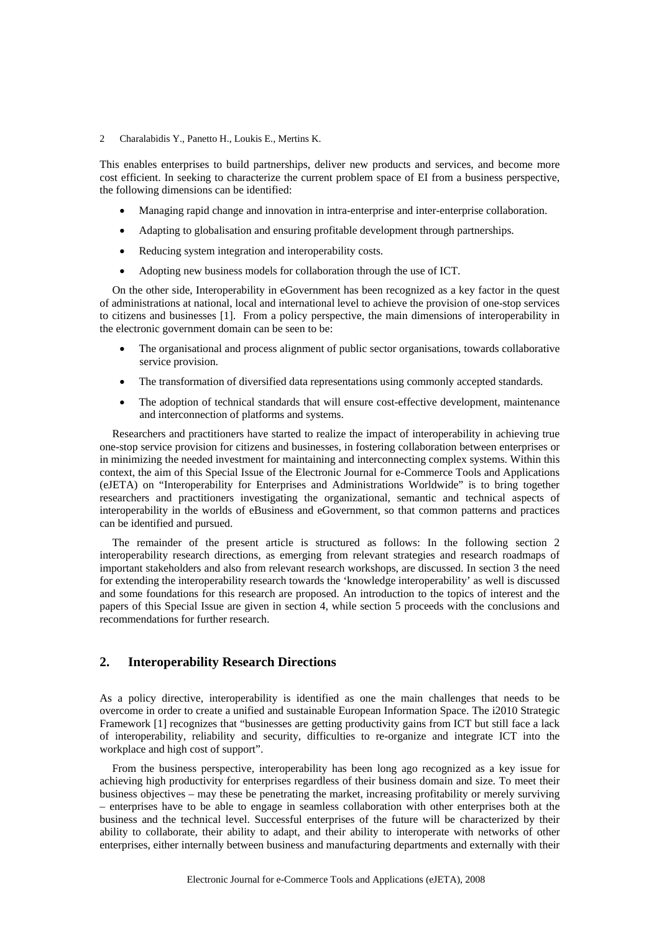This enables enterprises to build partnerships, deliver new products and services, and become more cost efficient. In seeking to characterize the current problem space of EI from a business perspective, the following dimensions can be identified:

- Managing rapid change and innovation in intra-enterprise and inter-enterprise collaboration.
- Adapting to globalisation and ensuring profitable development through partnerships.
- Reducing system integration and interoperability costs.
- Adopting new business models for collaboration through the use of ICT.

On the other side, Interoperability in eGovernment has been recognized as a key factor in the quest of administrations at national, local and international level to achieve the provision of one-stop services to citizens and businesses [1]. From a policy perspective, the main dimensions of interoperability in the electronic government domain can be seen to be:

- The organisational and process alignment of public sector organisations, towards collaborative service provision.
- The transformation of diversified data representations using commonly accepted standards.
- The adoption of technical standards that will ensure cost-effective development, maintenance and interconnection of platforms and systems.

Researchers and practitioners have started to realize the impact of interoperability in achieving true one-stop service provision for citizens and businesses, in fostering collaboration between enterprises or in minimizing the needed investment for maintaining and interconnecting complex systems. Within this context, the aim of this Special Issue of the Electronic Journal for e-Commerce Tools and Applications (eJETA) on "Interoperability for Enterprises and Administrations Worldwide" is to bring together researchers and practitioners investigating the organizational, semantic and technical aspects of interoperability in the worlds of eBusiness and eGovernment, so that common patterns and practices can be identified and pursued.

The remainder of the present article is structured as follows: In the following section 2 interoperability research directions, as emerging from relevant strategies and research roadmaps of important stakeholders and also from relevant research workshops, are discussed. In section 3 the need for extending the interoperability research towards the 'knowledge interoperability' as well is discussed and some foundations for this research are proposed. An introduction to the topics of interest and the papers of this Special Issue are given in section 4, while section 5 proceeds with the conclusions and recommendations for further research.

# **2. Interoperability Research Directions**

As a policy directive, interoperability is identified as one the main challenges that needs to be overcome in order to create a unified and sustainable European Information Space. The i2010 Strategic Framework [1] recognizes that "businesses are getting productivity gains from ICT but still face a lack of interoperability, reliability and security, difficulties to re-organize and integrate ICT into the workplace and high cost of support".

From the business perspective, interoperability has been long ago recognized as a key issue for achieving high productivity for enterprises regardless of their business domain and size. To meet their business objectives – may these be penetrating the market, increasing profitability or merely surviving – enterprises have to be able to engage in seamless collaboration with other enterprises both at the business and the technical level. Successful enterprises of the future will be characterized by their ability to collaborate, their ability to adapt, and their ability to interoperate with networks of other enterprises, either internally between business and manufacturing departments and externally with their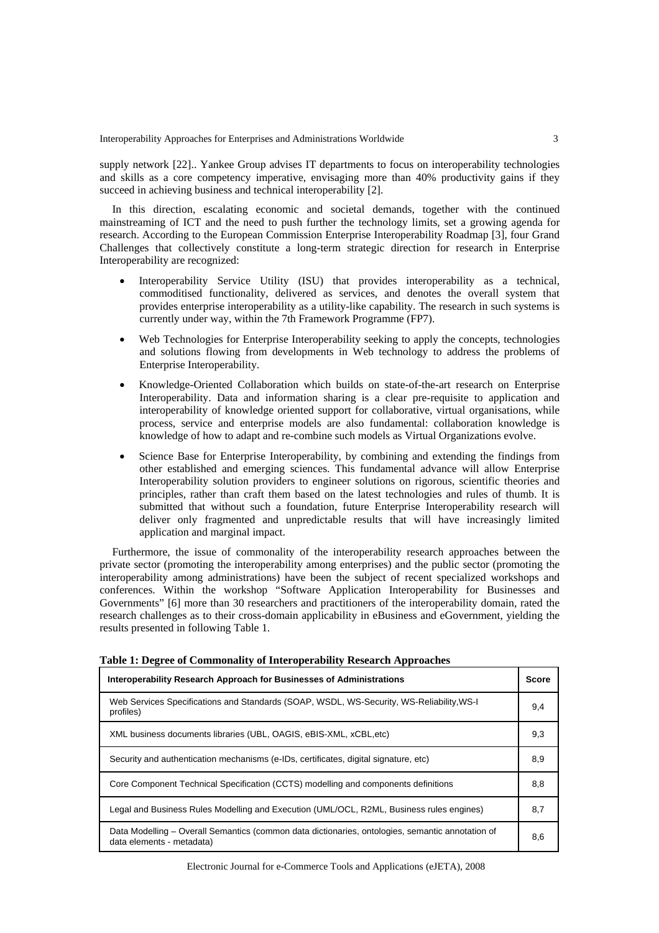supply network [22].. Yankee Group advises IT departments to focus on interoperability technologies and skills as a core competency imperative, envisaging more than 40% productivity gains if they succeed in achieving business and technical interoperability [2].

In this direction, escalating economic and societal demands, together with the continued mainstreaming of ICT and the need to push further the technology limits, set a growing agenda for research. According to the European Commission Enterprise Interoperability Roadmap [3], four Grand Challenges that collectively constitute a long-term strategic direction for research in Enterprise Interoperability are recognized:

- Interoperability Service Utility (ISU) that provides interoperability as a technical, commoditised functionality, delivered as services, and denotes the overall system that provides enterprise interoperability as a utility-like capability. The research in such systems is currently under way, within the 7th Framework Programme (FP7).
- Web Technologies for Enterprise Interoperability seeking to apply the concepts, technologies and solutions flowing from developments in Web technology to address the problems of Enterprise Interoperability.
- Knowledge-Oriented Collaboration which builds on state-of-the-art research on Enterprise Interoperability. Data and information sharing is a clear pre-requisite to application and interoperability of knowledge oriented support for collaborative, virtual organisations, while process, service and enterprise models are also fundamental: collaboration knowledge is knowledge of how to adapt and re-combine such models as Virtual Organizations evolve.
- Science Base for Enterprise Interoperability, by combining and extending the findings from other established and emerging sciences. This fundamental advance will allow Enterprise Interoperability solution providers to engineer solutions on rigorous, scientific theories and principles, rather than craft them based on the latest technologies and rules of thumb. It is submitted that without such a foundation, future Enterprise Interoperability research will deliver only fragmented and unpredictable results that will have increasingly limited application and marginal impact.

Furthermore, the issue of commonality of the interoperability research approaches between the private sector (promoting the interoperability among enterprises) and the public sector (promoting the interoperability among administrations) have been the subject of recent specialized workshops and conferences. Within the workshop "Software Application Interoperability for Businesses and Governments" [6] more than 30 researchers and practitioners of the interoperability domain, rated the research challenges as to their cross-domain applicability in eBusiness and eGovernment, yielding the results presented in following Table 1.

| <b>Interoperability Research Approach for Businesses of Administrations</b>                                                   | <b>Score</b> |
|-------------------------------------------------------------------------------------------------------------------------------|--------------|
| Web Services Specifications and Standards (SOAP, WSDL, WS-Security, WS-Reliability, WS-I<br>profiles)                         | 9,4          |
| XML business documents libraries (UBL, OAGIS, eBIS-XML, xCBL, etc)                                                            | 9,3          |
| Security and authentication mechanisms (e-IDs, certificates, digital signature, etc)                                          | 8,9          |
| Core Component Technical Specification (CCTS) modelling and components definitions                                            | 8,8          |
| Legal and Business Rules Modelling and Execution (UML/OCL, R2ML, Business rules engines)                                      | 8,7          |
| Data Modelling – Overall Semantics (common data dictionaries, ontologies, semantic annotation of<br>data elements - metadata) | 8,6          |

**Table 1: Degree of Commonality of Interoperability Research Approaches** 

Electronic Journal for e-Commerce Tools and Applications (eJETA), 2008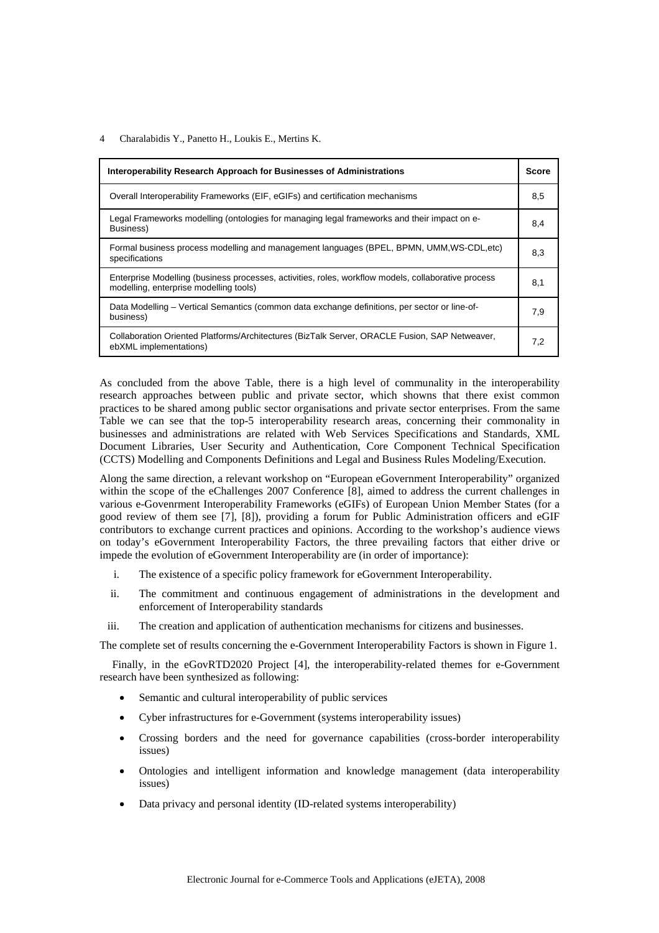| Interoperability Research Approach for Businesses of Administrations                                                                          | <b>Score</b> |
|-----------------------------------------------------------------------------------------------------------------------------------------------|--------------|
| Overall Interoperability Frameworks (EIF, eGIFs) and certification mechanisms                                                                 | 8,5          |
| Legal Frameworks modelling (ontologies for managing legal frameworks and their impact on e-<br>Business)                                      | 8,4          |
| Formal business process modelling and management languages (BPEL, BPMN, UMM, WS-CDL, etc)<br>specifications                                   | 8,3          |
| Enterprise Modelling (business processes, activities, roles, workflow models, collaborative process<br>modelling, enterprise modelling tools) | 8,1          |
| Data Modelling – Vertical Semantics (common data exchange definitions, per sector or line-of-<br>business)                                    | 7,9          |
| Collaboration Oriented Platforms/Architectures (BizTalk Server, ORACLE Fusion, SAP Netweaver,<br>ebXML implementations)                       | 7,2          |

As concluded from the above Table, there is a high level of communality in the interoperability research approaches between public and private sector, which showns that there exist common practices to be shared among public sector organisations and private sector enterprises. From the same Table we can see that the top-5 interoperability research areas, concerning their commonality in businesses and administrations are related with Web Services Specifications and Standards, XML Document Libraries, User Security and Authentication, Core Component Technical Specification (CCTS) Modelling and Components Definitions and Legal and Business Rules Modeling/Execution.

Along the same direction, a relevant workshop on "European eGovernment Interoperability" organized within the scope of the eChallenges 2007 Conference [8], aimed to address the current challenges in various e-Govenrment Interoperability Frameworks (eGIFs) of European Union Member States (for a good review of them see [7], [8]), providing a forum for Public Administration officers and eGIF contributors to exchange current practices and opinions. According to the workshop's audience views on today's eGovernment Interoperability Factors, the three prevailing factors that either drive or impede the evolution of eGovernment Interoperability are (in order of importance):

- i. The existence of a specific policy framework for eGovernment Interoperability.
- ii. The commitment and continuous engagement of administrations in the development and enforcement of Interoperability standards
- iii. The creation and application of authentication mechanisms for citizens and businesses.

The complete set of results concerning the e-Government Interoperability Factors is shown in Figure 1.

Finally, in the eGovRTD2020 Project [4], the interoperability-related themes for e-Government research have been synthesized as following:

- Semantic and cultural interoperability of public services
- Cyber infrastructures for e-Government (systems interoperability issues)
- Crossing borders and the need for governance capabilities (cross-border interoperability issues)
- Ontologies and intelligent information and knowledge management (data interoperability issues)
- Data privacy and personal identity (ID-related systems interoperability)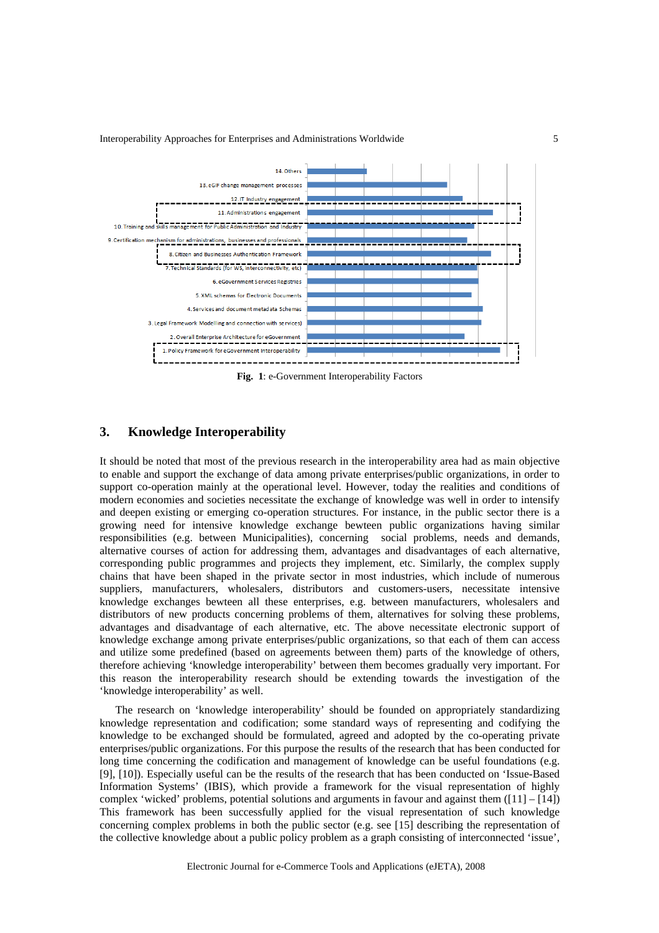

**Fig. 1**: e-Government Interoperability Factors

# **3. Knowledge Interoperability**

It should be noted that most of the previous research in the interoperability area had as main objective to enable and support the exchange of data among private enterprises/public organizations, in order to support co-operation mainly at the operational level. However, today the realities and conditions of modern economies and societies necessitate the exchange of knowledge was well in order to intensify and deepen existing or emerging co-operation structures. For instance, in the public sector there is a growing need for intensive knowledge exchange bewteen public organizations having similar responsibilities (e.g. between Municipalities), concerning social problems, needs and demands, alternative courses of action for addressing them, advantages and disadvantages of each alternative, corresponding public programmes and projects they implement, etc. Similarly, the complex supply chains that have been shaped in the private sector in most industries, which include of numerous suppliers, manufacturers, wholesalers, distributors and customers-users, necessitate intensive knowledge exchanges bewteen all these enterprises, e.g. between manufacturers, wholesalers and distributors of new products concerning problems of them, alternatives for solving these problems, advantages and disadvantage of each alternative, etc. The above necessitate electronic support of knowledge exchange among private enterprises/public organizations, so that each of them can access and utilize some predefined (based on agreements between them) parts of the knowledge of others, therefore achieving 'knowledge interoperability' between them becomes gradually very important. For this reason the interoperability research should be extending towards the investigation of the 'knowledge interoperability' as well.

The research on 'knowledge interoperability' should be founded on appropriately standardizing knowledge representation and codification; some standard ways of representing and codifying the knowledge to be exchanged should be formulated, agreed and adopted by the co-operating private enterprises/public organizations. For this purpose the results of the research that has been conducted for long time concerning the codification and management of knowledge can be useful foundations (e.g. [9], [10]). Especially useful can be the results of the research that has been conducted on 'Issue-Based Information Systems' (IBIS), which provide a framework for the visual representation of highly complex 'wicked' problems, potential solutions and arguments in favour and against them  $([11] - [14])$ This framework has been successfully applied for the visual representation of such knowledge concerning complex problems in both the public sector (e.g. see [15] describing the representation of the collective knowledge about a public policy problem as a graph consisting of interconnected 'issue',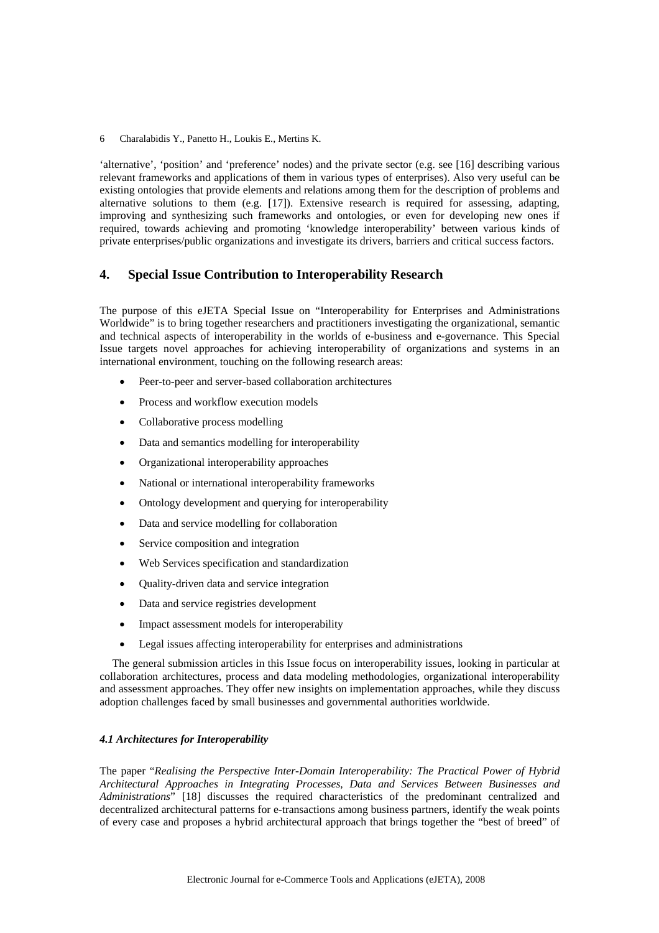'alternative', 'position' and 'preference' nodes) and the private sector (e.g. see [16] describing various relevant frameworks and applications of them in various types of enterprises). Also very useful can be existing ontologies that provide elements and relations among them for the description of problems and alternative solutions to them (e.g. [17]). Extensive research is required for assessing, adapting, improving and synthesizing such frameworks and ontologies, or even for developing new ones if required, towards achieving and promoting 'knowledge interoperability' between various kinds of private enterprises/public organizations and investigate its drivers, barriers and critical success factors.

# **4. Special Issue Contribution to Interoperability Research**

The purpose of this eJETA Special Issue on "Interoperability for Enterprises and Administrations Worldwide" is to bring together researchers and practitioners investigating the organizational, semantic and technical aspects of interoperability in the worlds of e-business and e-governance. This Special Issue targets novel approaches for achieving interoperability of organizations and systems in an international environment, touching on the following research areas:

- Peer-to-peer and server-based collaboration architectures
- Process and workflow execution models
- Collaborative process modelling
- Data and semantics modelling for interoperability
- Organizational interoperability approaches
- National or international interoperability frameworks
- Ontology development and querying for interoperability
- Data and service modelling for collaboration
- Service composition and integration
- Web Services specification and standardization
- Quality-driven data and service integration
- Data and service registries development
- Impact assessment models for interoperability
- Legal issues affecting interoperability for enterprises and administrations

The general submission articles in this Issue focus on interoperability issues, looking in particular at collaboration architectures, process and data modeling methodologies, organizational interoperability and assessment approaches. They offer new insights on implementation approaches, while they discuss adoption challenges faced by small businesses and governmental authorities worldwide.

### *4.1 Architectures for Interoperability*

The paper "*Realising the Perspective Inter-Domain Interoperability: The Practical Power of Hybrid Architectural Approaches in Integrating Processes, Data and Services Between Businesses and Administrations*" [18] discusses the required characteristics of the predominant centralized and decentralized architectural patterns for e-transactions among business partners, identify the weak points of every case and proposes a hybrid architectural approach that brings together the "best of breed" of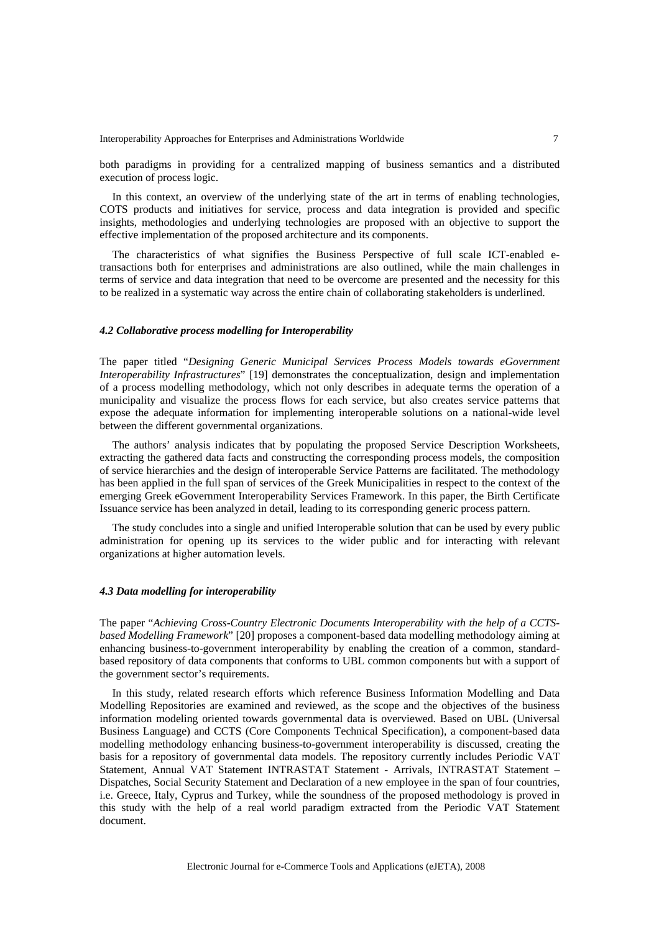both paradigms in providing for a centralized mapping of business semantics and a distributed execution of process logic.

In this context, an overview of the underlying state of the art in terms of enabling technologies, COTS products and initiatives for service, process and data integration is provided and specific insights, methodologies and underlying technologies are proposed with an objective to support the effective implementation of the proposed architecture and its components.

The characteristics of what signifies the Business Perspective of full scale ICT-enabled etransactions both for enterprises and administrations are also outlined, while the main challenges in terms of service and data integration that need to be overcome are presented and the necessity for this to be realized in a systematic way across the entire chain of collaborating stakeholders is underlined.

#### *4.2 Collaborative process modelling for Interoperability*

The paper titled "*Designing Generic Municipal Services Process Models towards eGovernment Interoperability Infrastructures*" [19] demonstrates the conceptualization, design and implementation of a process modelling methodology, which not only describes in adequate terms the operation of a municipality and visualize the process flows for each service, but also creates service patterns that expose the adequate information for implementing interoperable solutions on a national-wide level between the different governmental organizations.

The authors' analysis indicates that by populating the proposed Service Description Worksheets, extracting the gathered data facts and constructing the corresponding process models, the composition of service hierarchies and the design of interoperable Service Patterns are facilitated. The methodology has been applied in the full span of services of the Greek Municipalities in respect to the context of the emerging Greek eGovernment Interoperability Services Framework. In this paper, the Birth Certificate Issuance service has been analyzed in detail, leading to its corresponding generic process pattern.

The study concludes into a single and unified Interoperable solution that can be used by every public administration for opening up its services to the wider public and for interacting with relevant organizations at higher automation levels.

### *4.3 Data modelling for interoperability*

The paper "*Achieving Cross-Country Electronic Documents Interoperability with the help of a CCTSbased Modelling Framework*" [20] proposes a component-based data modelling methodology aiming at enhancing business-to-government interoperability by enabling the creation of a common, standardbased repository of data components that conforms to UBL common components but with a support of the government sector's requirements.

In this study, related research efforts which reference Business Information Modelling and Data Modelling Repositories are examined and reviewed, as the scope and the objectives of the business information modeling oriented towards governmental data is overviewed. Based on UBL (Universal Business Language) and CCTS (Core Components Technical Specification), a component-based data modelling methodology enhancing business-to-government interoperability is discussed, creating the basis for a repository of governmental data models. The repository currently includes Periodic VAT Statement, Annual VAT Statement INTRASTAT Statement - Arrivals, INTRASTAT Statement – Dispatches, Social Security Statement and Declaration of a new employee in the span of four countries, i.e. Greece, Italy, Cyprus and Turkey, while the soundness of the proposed methodology is proved in this study with the help of a real world paradigm extracted from the Periodic VAT Statement document.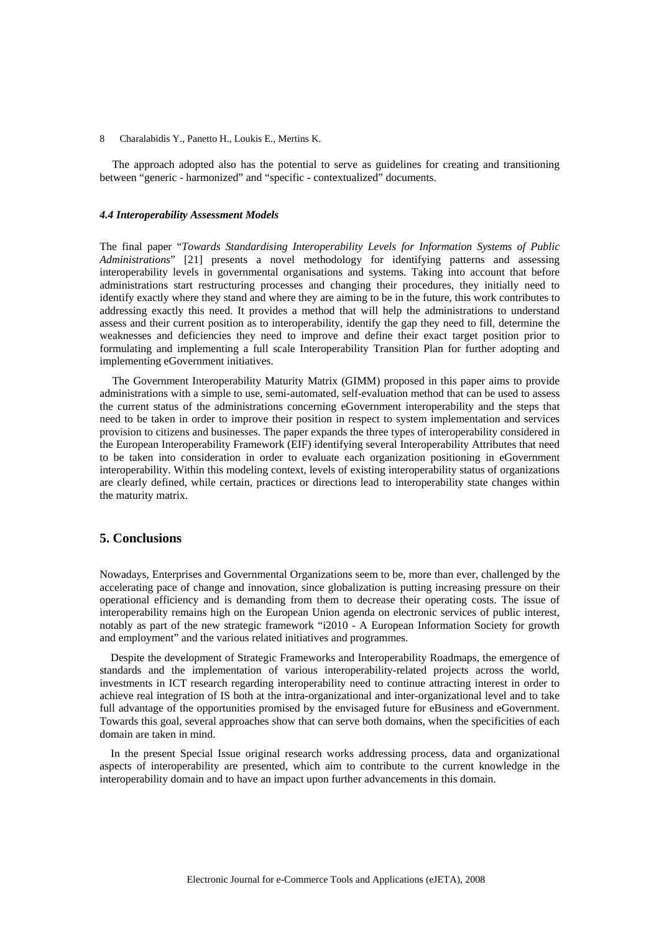The approach adopted also has the potential to serve as guidelines for creating and transitioning between "generic - harmonized" and "specific - contextualized" documents.

### *4.4 Interoperability Assessment Models*

The final paper "*Towards Standardising Interoperability Levels for Information Systems of Public Administrations*" [21] presents a novel methodology for identifying patterns and assessing interoperability levels in governmental organisations and systems. Taking into account that before administrations start restructuring processes and changing their procedures, they initially need to identify exactly where they stand and where they are aiming to be in the future, this work contributes to addressing exactly this need. It provides a method that will help the administrations to understand assess and their current position as to interoperability, identify the gap they need to fill, determine the weaknesses and deficiencies they need to improve and define their exact target position prior to formulating and implementing a full scale Interoperability Transition Plan for further adopting and implementing eGovernment initiatives.

The Government Interoperability Maturity Matrix (GIMM) proposed in this paper aims to provide administrations with a simple to use, semi-automated, self-evaluation method that can be used to assess the current status of the administrations concerning eGovernment interoperability and the steps that need to be taken in order to improve their position in respect to system implementation and services provision to citizens and businesses. The paper expands the three types of interoperability considered in the European Interoperability Framework (EIF) identifying several Interoperability Attributes that need to be taken into consideration in order to evaluate each organization positioning in eGovernment interoperability. Within this modeling context, levels of existing interoperability status of organizations are clearly defined, while certain, practices or directions lead to interoperability state changes within the maturity matrix.

# **5. Conclusions**

Nowadays, Enterprises and Governmental Organizations seem to be, more than ever, challenged by the accelerating pace of change and innovation, since globalization is putting increasing pressure on their operational efficiency and is demanding from them to decrease their operating costs. The issue of interoperability remains high on the European Union agenda on electronic services of public interest, notably as part of the new strategic framework "i2010 - A European Information Society for growth and employment" and the various related initiatives and programmes.

 Despite the development of Strategic Frameworks and Interoperability Roadmaps, the emergence of standards and the implementation of various interoperability-related projects across the world, investments in ICT research regarding interoperability need to continue attracting interest in order to achieve real integration of IS both at the intra-organizational and inter-organizational level and to take full advantage of the opportunities promised by the envisaged future for eBusiness and eGovernment. Towards this goal, several approaches show that can serve both domains, when the specificities of each domain are taken in mind.

 In the present Special Issue original research works addressing process, data and organizational aspects of interoperability are presented, which aim to contribute to the current knowledge in the interoperability domain and to have an impact upon further advancements in this domain.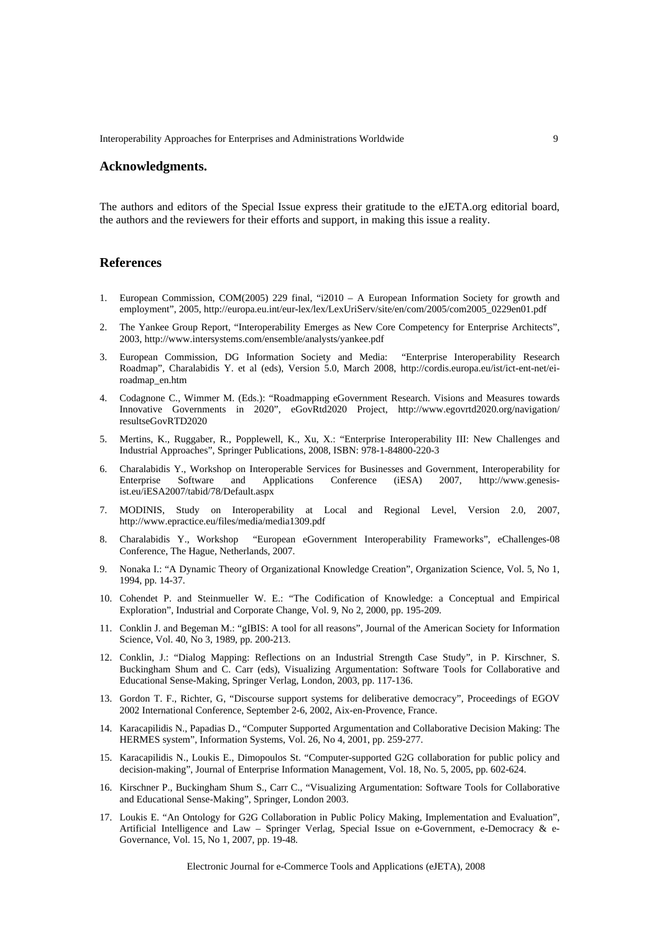### **Acknowledgments.**

The authors and editors of the Special Issue express their gratitude to the eJETA.org editorial board, the authors and the reviewers for their efforts and support, in making this issue a reality.

### **References**

- 1. European Commission, COM(2005) 229 final, "i2010 A European Information Society for growth and employment", 2005, http://europa.eu.int/eur-lex/lex/LexUriServ/site/en/com/2005/com2005\_0229en01.pdf
- 2. The Yankee Group Report, "Interoperability Emerges as New Core Competency for Enterprise Architects", 2003, http://www.intersystems.com/ensemble/analysts/yankee.pdf
- 3. European Commission, DG Information Society and Media: "Enterprise Interoperability Research Roadmap", Charalabidis Y. et al (eds), Version 5.0, March 2008, http://cordis.europa.eu/ist/ict-ent-net/eiroadmap\_en.htm
- 4. Codagnone C., Wimmer M. (Eds.): "Roadmapping eGovernment Research. Visions and Measures towards Innovative Governments in 2020", eGovRtd2020 Project, http://www.egovrtd2020.org/navigation/ resultseGovRTD2020
- 5. Mertins, K., Ruggaber, R., Popplewell, K., Xu, X.: "Enterprise Interoperability III: New Challenges and Industrial Approaches", Springer Publications, 2008, ISBN: 978-1-84800-220-3
- 6. Charalabidis Y., Workshop on Interoperable Services for Businesses and Government, Interoperability for Enterprise Software and Applications Conference (iESA) 2007, http://www.genesisand Applications Conference (iESA) 2007, http://www.genesisist.eu/iESA2007/tabid/78/Default.aspx
- 7. MODINIS, Study on Interoperability at Local and Regional Level, Version 2.0, 2007, http://www.epractice.eu/files/media/media1309.pdf
- 8. Charalabidis Y., Workshop "European eGovernment Interoperability Frameworks", eChallenges-08 Conference, The Hague, Netherlands, 2007.
- 9. Nonaka I.: "A Dynamic Theory of Organizational Knowledge Creation", Organization Science, Vol. 5, No 1, 1994, pp. 14-37.
- 10. Cohendet P. and Steinmueller W. E.: "The Codification of Knowledge: a Conceptual and Empirical Exploration", Industrial and Corporate Change, Vol. 9, No 2, 2000, pp. 195-209.
- 11. Conklin J. and Begeman M.: "gIBIS: A tool for all reasons", Journal of the American Society for Information Science, Vol. 40, No 3, 1989, pp. 200-213.
- 12. Conklin, J.: "Dialog Mapping: Reflections on an Industrial Strength Case Study", in P. Kirschner, S. Buckingham Shum and C. Carr (eds), Visualizing Argumentation: Software Tools for Collaborative and Educational Sense-Making, Springer Verlag, London, 2003, pp. 117-136.
- 13. Gordon T. F., Richter, G, "Discourse support systems for deliberative democracy", Proceedings of EGOV 2002 International Conference, September 2-6, 2002, Aix-en-Provence, France.
- 14. Karacapilidis N., Papadias D., "Computer Supported Argumentation and Collaborative Decision Making: The HERMES system", Information Systems, Vol. 26, No 4, 2001, pp. 259-277.
- 15. Karacapilidis N., Loukis E., Dimopoulos St. "Computer-supported G2G collaboration for public policy and decision-making", Journal of Enterprise Information Management, Vol. 18, No. 5, 2005, pp. 602-624.
- 16. Kirschner P., Buckingham Shum S., Carr C., "Visualizing Argumentation: Software Tools for Collaborative and Educational Sense-Making", Springer, London 2003.
- 17. Loukis E. "An Ontology for G2G Collaboration in Public Policy Making, Implementation and Evaluation", Artificial Intelligence and Law – Springer Verlag, Special Issue on e-Government, e-Democracy & e-Governance, Vol. 15, No 1, 2007, pp. 19-48.